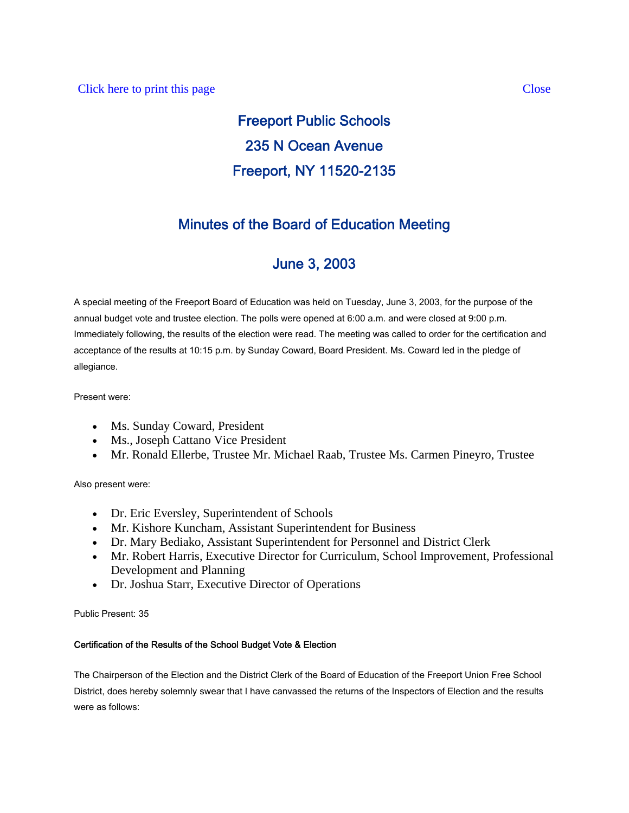# Freeport Public Schools 235 N Ocean Avenue Freeport, NY 11520-2135

# Minutes of the Board of Education Meeting

# June 3, 2003

A special meeting of the Freeport Board of Education was held on Tuesday, June 3, 2003, for the purpose of the annual budget vote and trustee election. The polls were opened at 6:00 a.m. and were closed at 9:00 p.m. Immediately following, the results of the election were read. The meeting was called to order for the certification and acceptance of the results at 10:15 p.m. by Sunday Coward, Board President. Ms. Coward led in the pledge of allegiance.

Present were:

- Ms. Sunday Coward, President
- Ms., Joseph Cattano Vice President
- Mr. Ronald Ellerbe, Trustee Mr. Michael Raab, Trustee Ms. Carmen Pineyro, Trustee

Also present were:

- Dr. Eric Eversley, Superintendent of Schools
- Mr. Kishore Kuncham, Assistant Superintendent for Business
- Dr. Mary Bediako, Assistant Superintendent for Personnel and District Clerk
- Mr. Robert Harris, Executive Director for Curriculum, School Improvement, Professional Development and Planning
- Dr. Joshua Starr, Executive Director of Operations

Public Present: 35

### Certification of the Results of the School Budget Vote & Election

The Chairperson of the Election and the District Clerk of the Board of Education of the Freeport Union Free School District, does hereby solemnly swear that I have canvassed the returns of the Inspectors of Election and the results were as follows: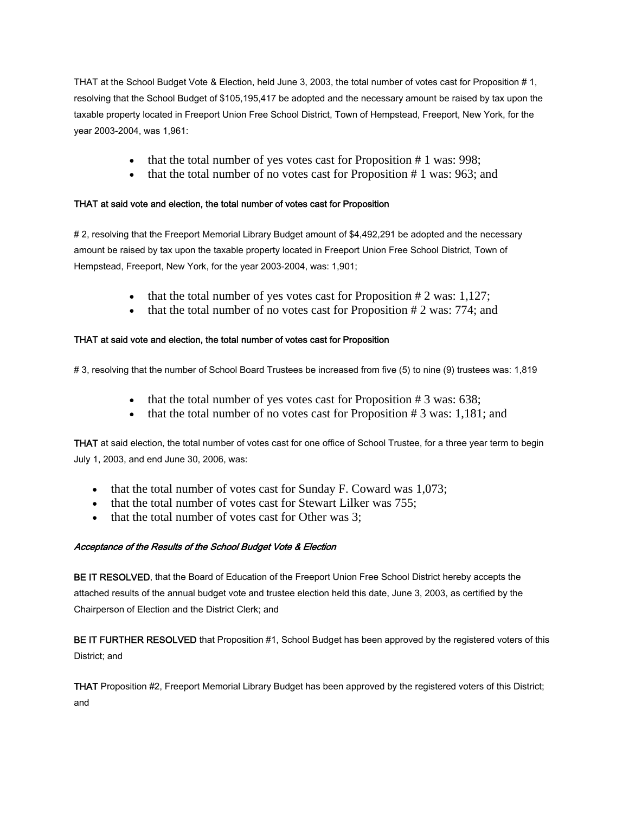THAT at the School Budget Vote & Election, held June 3, 2003, the total number of votes cast for Proposition # 1, resolving that the School Budget of \$105,195,417 be adopted and the necessary amount be raised by tax upon the taxable property located in Freeport Union Free School District, Town of Hempstead, Freeport, New York, for the year 2003-2004, was 1,961:

- that the total number of yes votes cast for Proposition # 1 was: 998;
- that the total number of no votes cast for Proposition # 1 was: 963; and

#### THAT at said vote and election, the total number of votes cast for Proposition

# 2, resolving that the Freeport Memorial Library Budget amount of \$4,492,291 be adopted and the necessary amount be raised by tax upon the taxable property located in Freeport Union Free School District, Town of Hempstead, Freeport, New York, for the year 2003-2004, was: 1,901;

- that the total number of yes votes cast for Proposition  $# 2$  was: 1,127;
- that the total number of no votes cast for Proposition  $# 2$  was: 774; and

### THAT at said vote and election, the total number of votes cast for Proposition

# 3, resolving that the number of School Board Trustees be increased from five (5) to nine (9) trustees was: 1,819

- that the total number of yes votes cast for Proposition # 3 was: 638;
- that the total number of no votes cast for Proposition  $# 3$  was: 1,181; and

THAT at said election, the total number of votes cast for one office of School Trustee, for a three year term to begin July 1, 2003, and end June 30, 2006, was:

- that the total number of votes cast for Sunday F. Coward was 1,073;
- that the total number of votes cast for Stewart Lilker was 755;
- that the total number of votes cast for Other was 3;

#### Acceptance of the Results of the School Budget Vote & Election

BE IT RESOLVED, that the Board of Education of the Freeport Union Free School District hereby accepts the attached results of the annual budget vote and trustee election held this date, June 3, 2003, as certified by the Chairperson of Election and the District Clerk; and

BE IT FURTHER RESOLVED that Proposition #1, School Budget has been approved by the registered voters of this District; and

THAT Proposition #2, Freeport Memorial Library Budget has been approved by the registered voters of this District; and